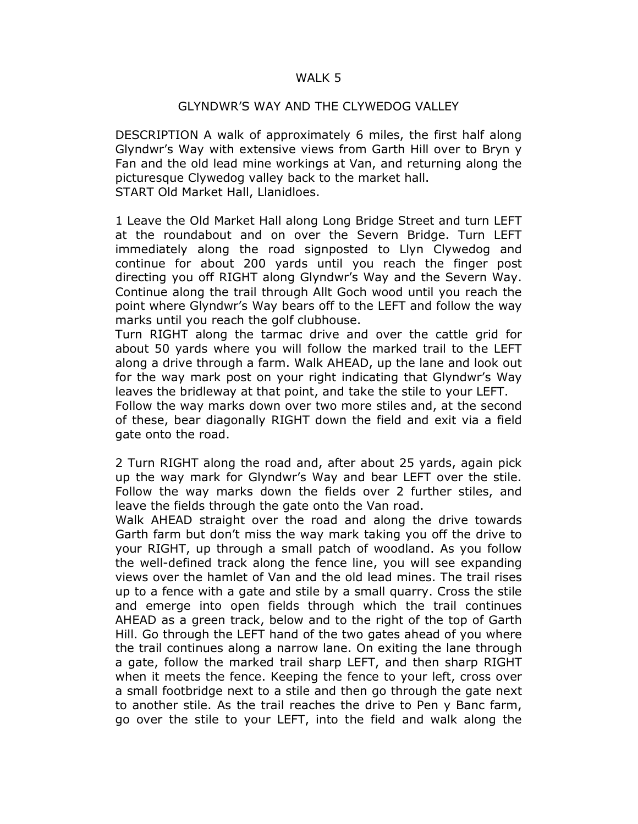## WALK 5

## GLYNDWR'S WAY AND THE CLYWEDOG VALLEY

DESCRIPTION A walk of approximately 6 miles, the first half along Glyndwr's Way with extensive views from Garth Hill over to Bryn y Fan and the old lead mine workings at Van, and returning along the picturesque Clywedog valley back to the market hall. START Old Market Hall, Llanidloes.

1 Leave the Old Market Hall along Long Bridge Street and turn LEFT at the roundabout and on over the Severn Bridge. Turn LEFT immediately along the road signposted to Llyn Clywedog and continue for about 200 yards until you reach the finger post directing you off RIGHT along Glyndwr's Way and the Severn Way. Continue along the trail through Allt Goch wood until you reach the point where Glyndwr's Way bears off to the LEFT and follow the way marks until you reach the golf clubhouse.

Turn RIGHT along the tarmac drive and over the cattle grid for about 50 yards where you will follow the marked trail to the LEFT along a drive through a farm. Walk AHEAD, up the lane and look out for the way mark post on your right indicating that Glyndwr's Way leaves the bridleway at that point, and take the stile to your LEFT.

Follow the way marks down over two more stiles and, at the second of these, bear diagonally RIGHT down the field and exit via a field gate onto the road.

2 Turn RIGHT along the road and, after about 25 yards, again pick up the way mark for Glyndwr's Way and bear LEFT over the stile. Follow the way marks down the fields over 2 further stiles, and leave the fields through the gate onto the Van road.

Walk AHEAD straight over the road and along the drive towards Garth farm but don't miss the way mark taking you off the drive to your RIGHT, up through a small patch of woodland. As you follow the well-defined track along the fence line, you will see expanding views over the hamlet of Van and the old lead mines. The trail rises up to a fence with a gate and stile by a small quarry. Cross the stile and emerge into open fields through which the trail continues AHEAD as a green track, below and to the right of the top of Garth Hill. Go through the LEFT hand of the two gates ahead of you where the trail continues along a narrow lane. On exiting the lane through a gate, follow the marked trail sharp LEFT, and then sharp RIGHT when it meets the fence. Keeping the fence to your left, cross over a small footbridge next to a stile and then go through the gate next to another stile. As the trail reaches the drive to Pen y Banc farm, go over the stile to your LEFT, into the field and walk along the